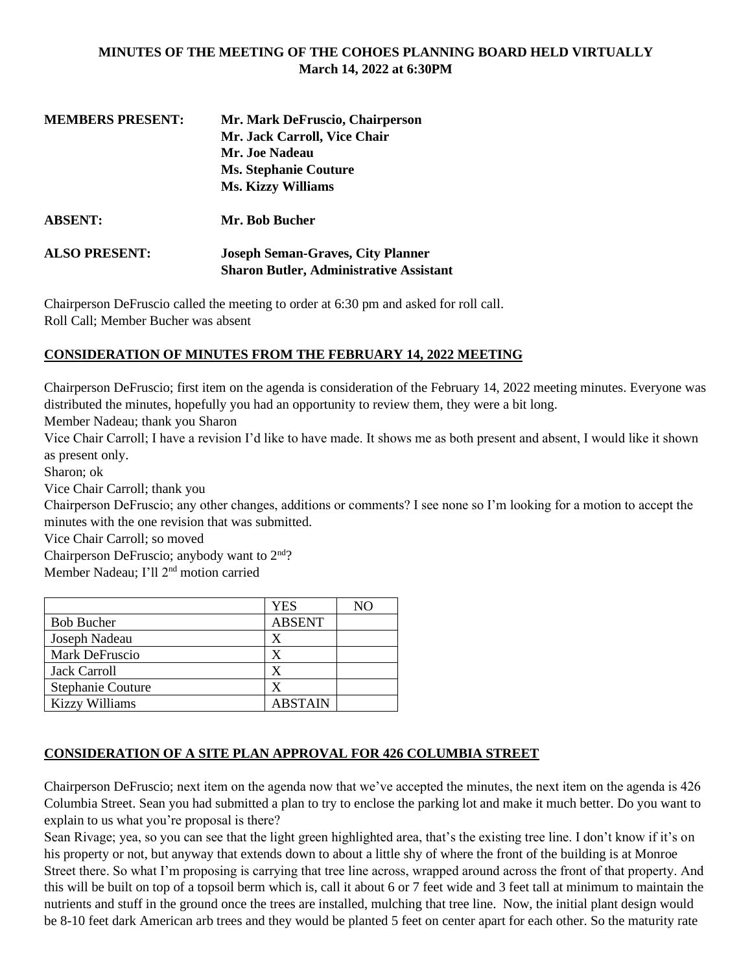### **MINUTES OF THE MEETING OF THE COHOES PLANNING BOARD HELD VIRTUALLY March 14, 2022 at 6:30PM**

| <b>MEMBERS PRESENT:</b> | Mr. Mark DeFruscio, Chairperson                |  |
|-------------------------|------------------------------------------------|--|
|                         | Mr. Jack Carroll, Vice Chair                   |  |
|                         | Mr. Joe Nadeau                                 |  |
|                         | <b>Ms. Stephanie Couture</b>                   |  |
|                         | <b>Ms. Kizzy Williams</b>                      |  |
| <b>ABSENT:</b>          | Mr. Bob Bucher                                 |  |
| <b>ALSO PRESENT:</b>    | <b>Joseph Seman-Graves, City Planner</b>       |  |
|                         | <b>Sharon Butler, Administrative Assistant</b> |  |

Chairperson DeFruscio called the meeting to order at 6:30 pm and asked for roll call. Roll Call; Member Bucher was absent

## **CONSIDERATION OF MINUTES FROM THE FEBRUARY 14, 2022 MEETING**

Chairperson DeFruscio; first item on the agenda is consideration of the February 14, 2022 meeting minutes. Everyone was distributed the minutes, hopefully you had an opportunity to review them, they were a bit long.

Member Nadeau; thank you Sharon

Vice Chair Carroll; I have a revision I'd like to have made. It shows me as both present and absent, I would like it shown as present only.

Sharon; ok

Vice Chair Carroll; thank you

Chairperson DeFruscio; any other changes, additions or comments? I see none so I'm looking for a motion to accept the minutes with the one revision that was submitted.

Vice Chair Carroll; so moved

Chairperson DeFruscio; anybody want to  $2<sup>nd</sup>$ ?

Member Nadeau; I'll 2nd motion carried

|                          | <b>YES</b>     | NO |
|--------------------------|----------------|----|
| <b>Bob Bucher</b>        | <b>ABSENT</b>  |    |
| Joseph Nadeau            | X              |    |
| Mark DeFruscio           | X              |    |
| <b>Jack Carroll</b>      | X              |    |
| <b>Stephanie Couture</b> | x              |    |
| <b>Kizzy Williams</b>    | <b>ABSTAIN</b> |    |

## **CONSIDERATION OF A SITE PLAN APPROVAL FOR 426 COLUMBIA STREET**

Chairperson DeFruscio; next item on the agenda now that we've accepted the minutes, the next item on the agenda is 426 Columbia Street. Sean you had submitted a plan to try to enclose the parking lot and make it much better. Do you want to explain to us what you're proposal is there?

Sean Rivage; yea, so you can see that the light green highlighted area, that's the existing tree line. I don't know if it's on his property or not, but anyway that extends down to about a little shy of where the front of the building is at Monroe Street there. So what I'm proposing is carrying that tree line across, wrapped around across the front of that property. And this will be built on top of a topsoil berm which is, call it about 6 or 7 feet wide and 3 feet tall at minimum to maintain the nutrients and stuff in the ground once the trees are installed, mulching that tree line. Now, the initial plant design would be 8-10 feet dark American arb trees and they would be planted 5 feet on center apart for each other. So the maturity rate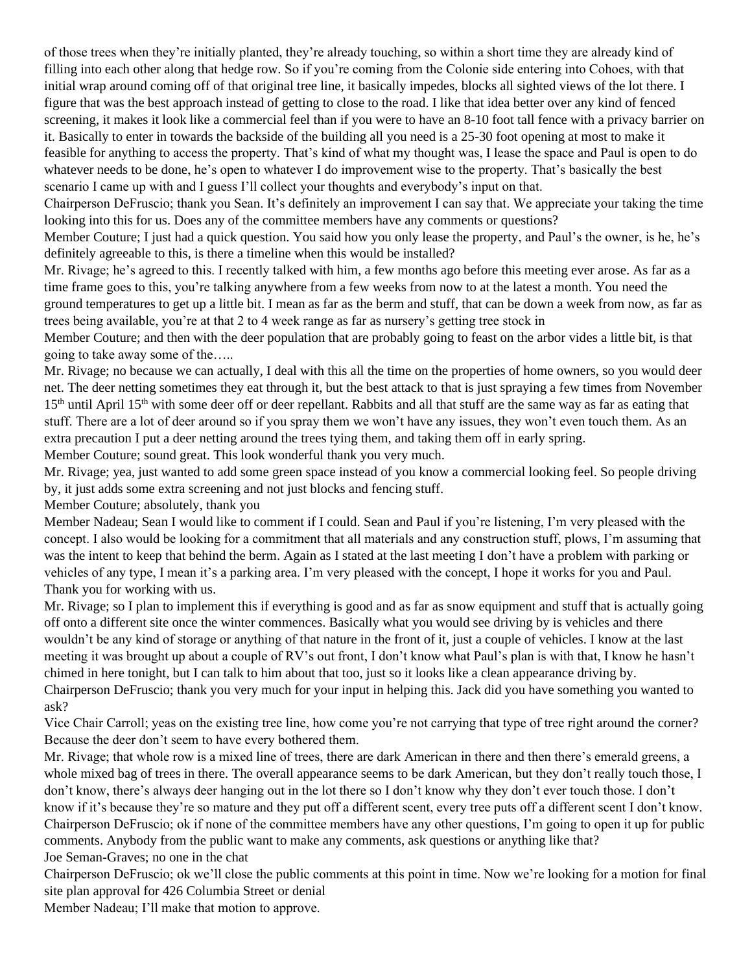of those trees when they're initially planted, they're already touching, so within a short time they are already kind of filling into each other along that hedge row. So if you're coming from the Colonie side entering into Cohoes, with that initial wrap around coming off of that original tree line, it basically impedes, blocks all sighted views of the lot there. I figure that was the best approach instead of getting to close to the road. I like that idea better over any kind of fenced screening, it makes it look like a commercial feel than if you were to have an 8-10 foot tall fence with a privacy barrier on it. Basically to enter in towards the backside of the building all you need is a 25-30 foot opening at most to make it feasible for anything to access the property. That's kind of what my thought was, I lease the space and Paul is open to do whatever needs to be done, he's open to whatever I do improvement wise to the property. That's basically the best scenario I came up with and I guess I'll collect your thoughts and everybody's input on that.

Chairperson DeFruscio; thank you Sean. It's definitely an improvement I can say that. We appreciate your taking the time looking into this for us. Does any of the committee members have any comments or questions?

Member Couture; I just had a quick question. You said how you only lease the property, and Paul's the owner, is he, he's definitely agreeable to this, is there a timeline when this would be installed?

Mr. Rivage; he's agreed to this. I recently talked with him, a few months ago before this meeting ever arose. As far as a time frame goes to this, you're talking anywhere from a few weeks from now to at the latest a month. You need the ground temperatures to get up a little bit. I mean as far as the berm and stuff, that can be down a week from now, as far as trees being available, you're at that 2 to 4 week range as far as nursery's getting tree stock in

Member Couture; and then with the deer population that are probably going to feast on the arbor vides a little bit, is that going to take away some of the…..

Mr. Rivage; no because we can actually, I deal with this all the time on the properties of home owners, so you would deer net. The deer netting sometimes they eat through it, but the best attack to that is just spraying a few times from November  $15<sup>th</sup>$  until April  $15<sup>th</sup>$  with some deer off or deer repellant. Rabbits and all that stuff are the same way as far as eating that stuff. There are a lot of deer around so if you spray them we won't have any issues, they won't even touch them. As an extra precaution I put a deer netting around the trees tying them, and taking them off in early spring.

Member Couture; sound great. This look wonderful thank you very much.

Mr. Rivage; yea, just wanted to add some green space instead of you know a commercial looking feel. So people driving by, it just adds some extra screening and not just blocks and fencing stuff.

Member Couture; absolutely, thank you

Member Nadeau; Sean I would like to comment if I could. Sean and Paul if you're listening, I'm very pleased with the concept. I also would be looking for a commitment that all materials and any construction stuff, plows, I'm assuming that was the intent to keep that behind the berm. Again as I stated at the last meeting I don't have a problem with parking or vehicles of any type, I mean it's a parking area. I'm very pleased with the concept, I hope it works for you and Paul. Thank you for working with us.

Mr. Rivage; so I plan to implement this if everything is good and as far as snow equipment and stuff that is actually going off onto a different site once the winter commences. Basically what you would see driving by is vehicles and there wouldn't be any kind of storage or anything of that nature in the front of it, just a couple of vehicles. I know at the last meeting it was brought up about a couple of RV's out front, I don't know what Paul's plan is with that, I know he hasn't chimed in here tonight, but I can talk to him about that too, just so it looks like a clean appearance driving by. Chairperson DeFruscio; thank you very much for your input in helping this. Jack did you have something you wanted to ask?

Vice Chair Carroll; yeas on the existing tree line, how come you're not carrying that type of tree right around the corner? Because the deer don't seem to have every bothered them.

Mr. Rivage; that whole row is a mixed line of trees, there are dark American in there and then there's emerald greens, a whole mixed bag of trees in there. The overall appearance seems to be dark American, but they don't really touch those, I don't know, there's always deer hanging out in the lot there so I don't know why they don't ever touch those. I don't know if it's because they're so mature and they put off a different scent, every tree puts off a different scent I don't know. Chairperson DeFruscio; ok if none of the committee members have any other questions, I'm going to open it up for public comments. Anybody from the public want to make any comments, ask questions or anything like that? Joe Seman-Graves; no one in the chat

Chairperson DeFruscio; ok we'll close the public comments at this point in time. Now we're looking for a motion for final site plan approval for 426 Columbia Street or denial

Member Nadeau; I'll make that motion to approve.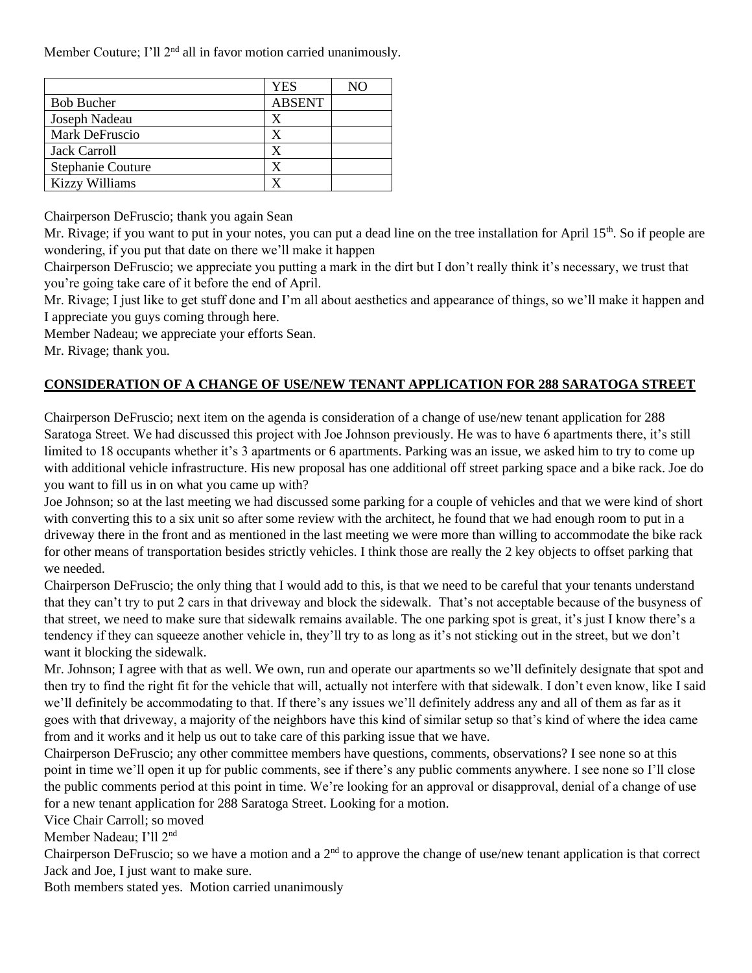Member Couture; I'll 2<sup>nd</sup> all in favor motion carried unanimously.

|                          | <b>YES</b>    | NO |
|--------------------------|---------------|----|
| <b>Bob Bucher</b>        | <b>ABSENT</b> |    |
| Joseph Nadeau            | X             |    |
| Mark DeFruscio           | x             |    |
| <b>Jack Carroll</b>      | X             |    |
| <b>Stephanie Couture</b> |               |    |
| <b>Kizzy Williams</b>    |               |    |

Chairperson DeFruscio; thank you again Sean

Mr. Rivage; if you want to put in your notes, you can put a dead line on the tree installation for April  $15<sup>th</sup>$ . So if people are wondering, if you put that date on there we'll make it happen

Chairperson DeFruscio; we appreciate you putting a mark in the dirt but I don't really think it's necessary, we trust that you're going take care of it before the end of April.

Mr. Rivage; I just like to get stuff done and I'm all about aesthetics and appearance of things, so we'll make it happen and I appreciate you guys coming through here.

Member Nadeau; we appreciate your efforts Sean.

Mr. Rivage; thank you.

# **CONSIDERATION OF A CHANGE OF USE/NEW TENANT APPLICATION FOR 288 SARATOGA STREET**

Chairperson DeFruscio; next item on the agenda is consideration of a change of use/new tenant application for 288 Saratoga Street. We had discussed this project with Joe Johnson previously. He was to have 6 apartments there, it's still limited to 18 occupants whether it's 3 apartments or 6 apartments. Parking was an issue, we asked him to try to come up with additional vehicle infrastructure. His new proposal has one additional off street parking space and a bike rack. Joe do you want to fill us in on what you came up with?

Joe Johnson; so at the last meeting we had discussed some parking for a couple of vehicles and that we were kind of short with converting this to a six unit so after some review with the architect, he found that we had enough room to put in a driveway there in the front and as mentioned in the last meeting we were more than willing to accommodate the bike rack for other means of transportation besides strictly vehicles. I think those are really the 2 key objects to offset parking that we needed.

Chairperson DeFruscio; the only thing that I would add to this, is that we need to be careful that your tenants understand that they can't try to put 2 cars in that driveway and block the sidewalk. That's not acceptable because of the busyness of that street, we need to make sure that sidewalk remains available. The one parking spot is great, it's just I know there's a tendency if they can squeeze another vehicle in, they'll try to as long as it's not sticking out in the street, but we don't want it blocking the sidewalk.

Mr. Johnson; I agree with that as well. We own, run and operate our apartments so we'll definitely designate that spot and then try to find the right fit for the vehicle that will, actually not interfere with that sidewalk. I don't even know, like I said we'll definitely be accommodating to that. If there's any issues we'll definitely address any and all of them as far as it goes with that driveway, a majority of the neighbors have this kind of similar setup so that's kind of where the idea came from and it works and it help us out to take care of this parking issue that we have.

Chairperson DeFruscio; any other committee members have questions, comments, observations? I see none so at this point in time we'll open it up for public comments, see if there's any public comments anywhere. I see none so I'll close the public comments period at this point in time. We're looking for an approval or disapproval, denial of a change of use for a new tenant application for 288 Saratoga Street. Looking for a motion.

Vice Chair Carroll; so moved

Member Nadeau; I'll 2nd

Chairperson DeFruscio; so we have a motion and a  $2<sup>nd</sup>$  to approve the change of use/new tenant application is that correct Jack and Joe, I just want to make sure.

Both members stated yes. Motion carried unanimously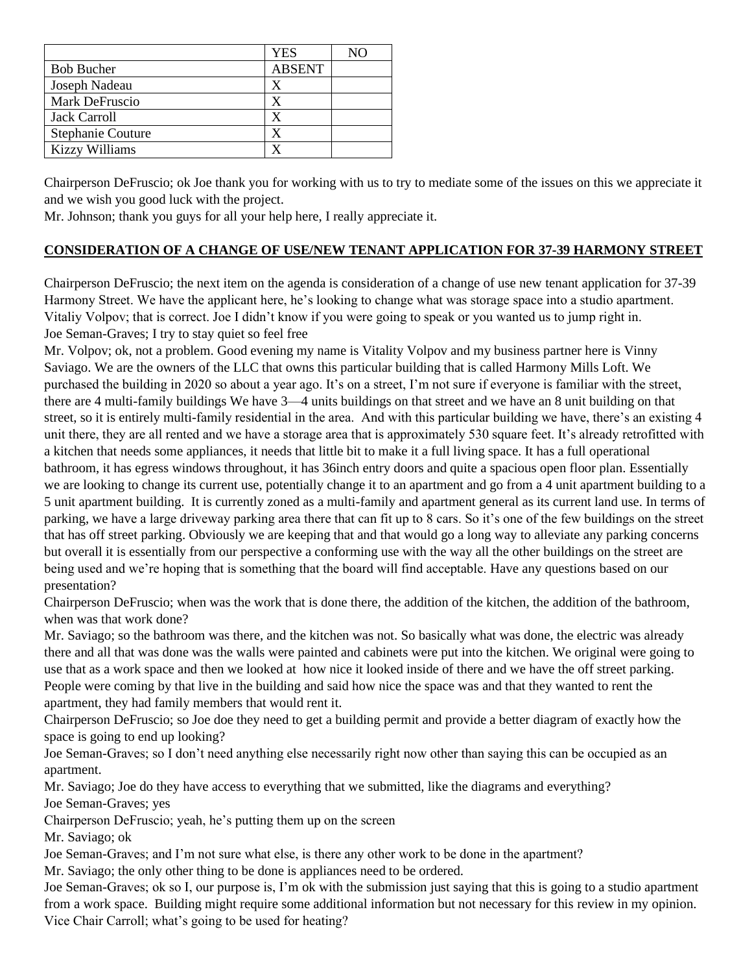|                          | <b>YES</b>    | NΩ |
|--------------------------|---------------|----|
| <b>Bob Bucher</b>        | <b>ABSENT</b> |    |
| Joseph Nadeau            | X             |    |
| Mark DeFruscio           | X             |    |
| <b>Jack Carroll</b>      | x             |    |
| <b>Stephanie Couture</b> | X             |    |
| <b>Kizzy Williams</b>    |               |    |

Chairperson DeFruscio; ok Joe thank you for working with us to try to mediate some of the issues on this we appreciate it and we wish you good luck with the project.

Mr. Johnson; thank you guys for all your help here, I really appreciate it.

## **CONSIDERATION OF A CHANGE OF USE/NEW TENANT APPLICATION FOR 37-39 HARMONY STREET**

Chairperson DeFruscio; the next item on the agenda is consideration of a change of use new tenant application for 37-39 Harmony Street. We have the applicant here, he's looking to change what was storage space into a studio apartment. Vitaliy Volpov; that is correct. Joe I didn't know if you were going to speak or you wanted us to jump right in. Joe Seman-Graves; I try to stay quiet so feel free

Mr. Volpov; ok, not a problem. Good evening my name is Vitality Volpov and my business partner here is Vinny Saviago. We are the owners of the LLC that owns this particular building that is called Harmony Mills Loft. We purchased the building in 2020 so about a year ago. It's on a street, I'm not sure if everyone is familiar with the street, there are 4 multi-family buildings We have 3—4 units buildings on that street and we have an 8 unit building on that street, so it is entirely multi-family residential in the area. And with this particular building we have, there's an existing 4 unit there, they are all rented and we have a storage area that is approximately 530 square feet. It's already retrofitted with a kitchen that needs some appliances, it needs that little bit to make it a full living space. It has a full operational bathroom, it has egress windows throughout, it has 36inch entry doors and quite a spacious open floor plan. Essentially we are looking to change its current use, potentially change it to an apartment and go from a 4 unit apartment building to a 5 unit apartment building. It is currently zoned as a multi-family and apartment general as its current land use. In terms of parking, we have a large driveway parking area there that can fit up to 8 cars. So it's one of the few buildings on the street that has off street parking. Obviously we are keeping that and that would go a long way to alleviate any parking concerns but overall it is essentially from our perspective a conforming use with the way all the other buildings on the street are being used and we're hoping that is something that the board will find acceptable. Have any questions based on our presentation?

Chairperson DeFruscio; when was the work that is done there, the addition of the kitchen, the addition of the bathroom, when was that work done?

Mr. Saviago; so the bathroom was there, and the kitchen was not. So basically what was done, the electric was already there and all that was done was the walls were painted and cabinets were put into the kitchen. We original were going to use that as a work space and then we looked at how nice it looked inside of there and we have the off street parking. People were coming by that live in the building and said how nice the space was and that they wanted to rent the apartment, they had family members that would rent it.

Chairperson DeFruscio; so Joe doe they need to get a building permit and provide a better diagram of exactly how the space is going to end up looking?

Joe Seman-Graves; so I don't need anything else necessarily right now other than saying this can be occupied as an apartment.

Mr. Saviago; Joe do they have access to everything that we submitted, like the diagrams and everything? Joe Seman-Graves; yes

Chairperson DeFruscio; yeah, he's putting them up on the screen

Mr. Saviago; ok

Joe Seman-Graves; and I'm not sure what else, is there any other work to be done in the apartment?

Mr. Saviago; the only other thing to be done is appliances need to be ordered.

Joe Seman-Graves; ok so I, our purpose is, I'm ok with the submission just saying that this is going to a studio apartment from a work space. Building might require some additional information but not necessary for this review in my opinion. Vice Chair Carroll; what's going to be used for heating?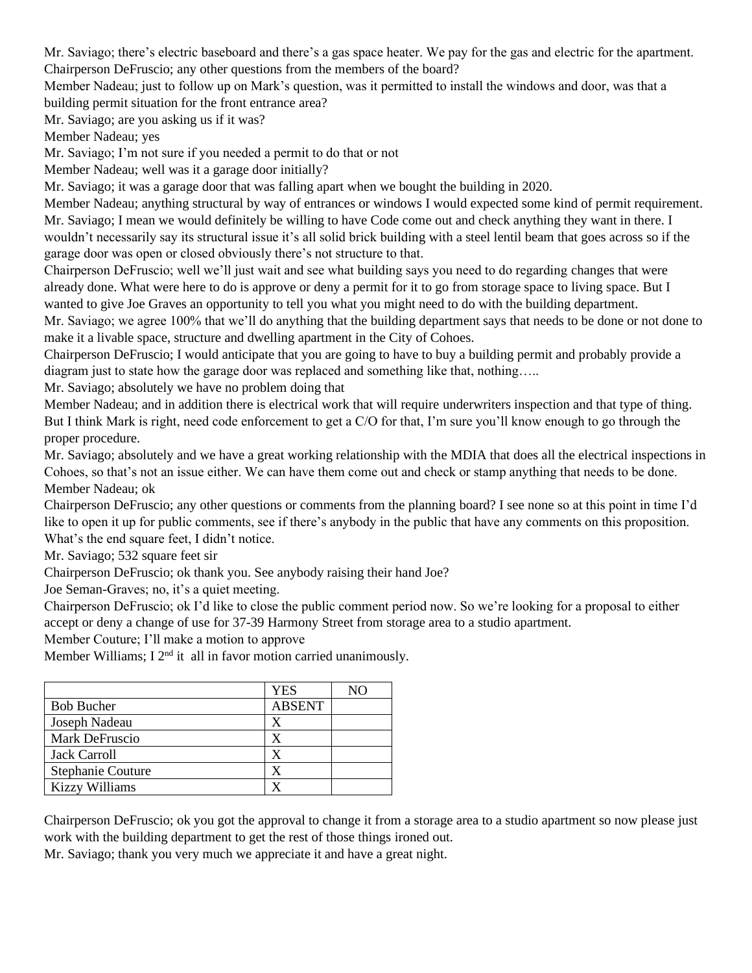Mr. Saviago; there's electric baseboard and there's a gas space heater. We pay for the gas and electric for the apartment. Chairperson DeFruscio; any other questions from the members of the board?

Member Nadeau; just to follow up on Mark's question, was it permitted to install the windows and door, was that a building permit situation for the front entrance area?

Mr. Saviago; are you asking us if it was?

Member Nadeau; yes

Mr. Saviago; I'm not sure if you needed a permit to do that or not

Member Nadeau; well was it a garage door initially?

Mr. Saviago; it was a garage door that was falling apart when we bought the building in 2020.

Member Nadeau; anything structural by way of entrances or windows I would expected some kind of permit requirement. Mr. Saviago; I mean we would definitely be willing to have Code come out and check anything they want in there. I wouldn't necessarily say its structural issue it's all solid brick building with a steel lentil beam that goes across so if the garage door was open or closed obviously there's not structure to that.

Chairperson DeFruscio; well we'll just wait and see what building says you need to do regarding changes that were already done. What were here to do is approve or deny a permit for it to go from storage space to living space. But I wanted to give Joe Graves an opportunity to tell you what you might need to do with the building department.

Mr. Saviago; we agree 100% that we'll do anything that the building department says that needs to be done or not done to make it a livable space, structure and dwelling apartment in the City of Cohoes.

Chairperson DeFruscio; I would anticipate that you are going to have to buy a building permit and probably provide a diagram just to state how the garage door was replaced and something like that, nothing…..

Mr. Saviago; absolutely we have no problem doing that

Member Nadeau; and in addition there is electrical work that will require underwriters inspection and that type of thing. But I think Mark is right, need code enforcement to get a C/O for that, I'm sure you'll know enough to go through the proper procedure.

Mr. Saviago; absolutely and we have a great working relationship with the MDIA that does all the electrical inspections in Cohoes, so that's not an issue either. We can have them come out and check or stamp anything that needs to be done. Member Nadeau; ok

Chairperson DeFruscio; any other questions or comments from the planning board? I see none so at this point in time I'd like to open it up for public comments, see if there's anybody in the public that have any comments on this proposition. What's the end square feet, I didn't notice.

Mr. Saviago; 532 square feet sir

Chairperson DeFruscio; ok thank you. See anybody raising their hand Joe?

Joe Seman-Graves; no, it's a quiet meeting.

Chairperson DeFruscio; ok I'd like to close the public comment period now. So we're looking for a proposal to either accept or deny a change of use for 37-39 Harmony Street from storage area to a studio apartment.

Member Couture; I'll make a motion to approve

Member Williams; I 2<sup>nd</sup> it all in favor motion carried unanimously.

|                          | <b>YES</b>    | NΟ |
|--------------------------|---------------|----|
| <b>Bob Bucher</b>        | <b>ABSENT</b> |    |
| Joseph Nadeau            | Χ             |    |
| Mark DeFruscio           | X             |    |
| <b>Jack Carroll</b>      | X             |    |
| <b>Stephanie Couture</b> | X             |    |
| <b>Kizzy Williams</b>    | x             |    |

Chairperson DeFruscio; ok you got the approval to change it from a storage area to a studio apartment so now please just work with the building department to get the rest of those things ironed out.

Mr. Saviago; thank you very much we appreciate it and have a great night.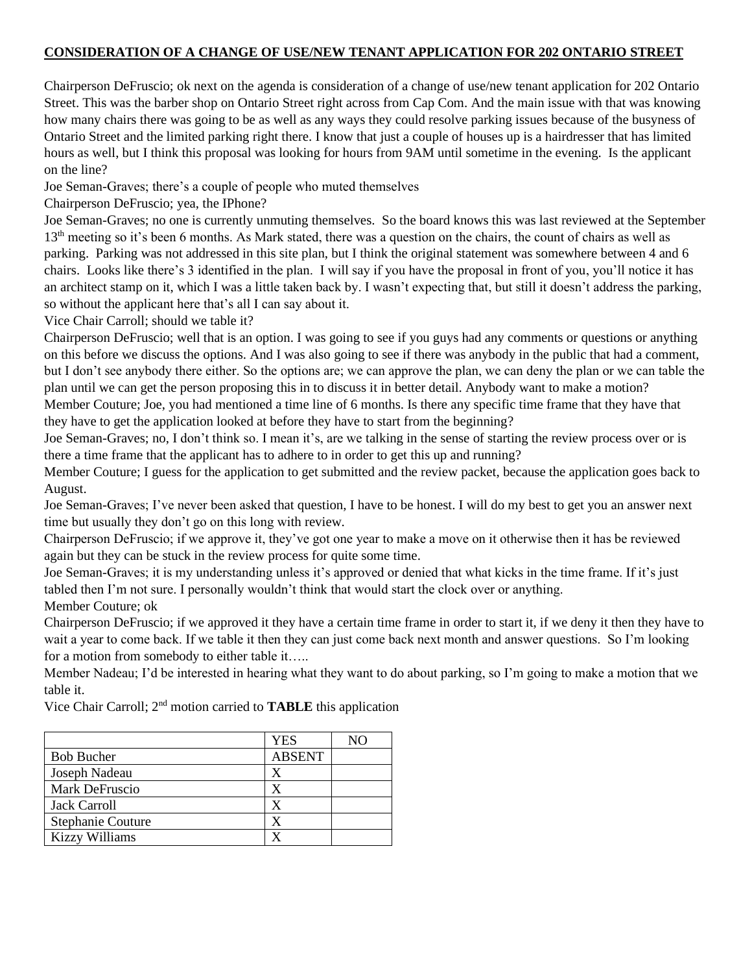### **CONSIDERATION OF A CHANGE OF USE/NEW TENANT APPLICATION FOR 202 ONTARIO STREET**

Chairperson DeFruscio; ok next on the agenda is consideration of a change of use/new tenant application for 202 Ontario Street. This was the barber shop on Ontario Street right across from Cap Com. And the main issue with that was knowing how many chairs there was going to be as well as any ways they could resolve parking issues because of the busyness of Ontario Street and the limited parking right there. I know that just a couple of houses up is a hairdresser that has limited hours as well, but I think this proposal was looking for hours from 9AM until sometime in the evening. Is the applicant on the line?

Joe Seman-Graves; there's a couple of people who muted themselves

Chairperson DeFruscio; yea, the IPhone?

Joe Seman-Graves; no one is currently unmuting themselves. So the board knows this was last reviewed at the September 13<sup>th</sup> meeting so it's been 6 months. As Mark stated, there was a question on the chairs, the count of chairs as well as parking. Parking was not addressed in this site plan, but I think the original statement was somewhere between 4 and 6 chairs. Looks like there's 3 identified in the plan. I will say if you have the proposal in front of you, you'll notice it has an architect stamp on it, which I was a little taken back by. I wasn't expecting that, but still it doesn't address the parking, so without the applicant here that's all I can say about it.

Vice Chair Carroll; should we table it?

Chairperson DeFruscio; well that is an option. I was going to see if you guys had any comments or questions or anything on this before we discuss the options. And I was also going to see if there was anybody in the public that had a comment, but I don't see anybody there either. So the options are; we can approve the plan, we can deny the plan or we can table the plan until we can get the person proposing this in to discuss it in better detail. Anybody want to make a motion? Member Couture; Joe, you had mentioned a time line of 6 months. Is there any specific time frame that they have that

they have to get the application looked at before they have to start from the beginning?

Joe Seman-Graves; no, I don't think so. I mean it's, are we talking in the sense of starting the review process over or is there a time frame that the applicant has to adhere to in order to get this up and running?

Member Couture; I guess for the application to get submitted and the review packet, because the application goes back to August.

Joe Seman-Graves; I've never been asked that question, I have to be honest. I will do my best to get you an answer next time but usually they don't go on this long with review.

Chairperson DeFruscio; if we approve it, they've got one year to make a move on it otherwise then it has be reviewed again but they can be stuck in the review process for quite some time.

Joe Seman-Graves; it is my understanding unless it's approved or denied that what kicks in the time frame. If it's just tabled then I'm not sure. I personally wouldn't think that would start the clock over or anything. Member Couture; ok

Chairperson DeFruscio; if we approved it they have a certain time frame in order to start it, if we deny it then they have to wait a year to come back. If we table it then they can just come back next month and answer questions. So I'm looking for a motion from somebody to either table it…..

Member Nadeau; I'd be interested in hearing what they want to do about parking, so I'm going to make a motion that we table it.

Vice Chair Carroll; 2nd motion carried to **TABLE** this application

|                          | <b>YES</b>    | NO |
|--------------------------|---------------|----|
| <b>Bob Bucher</b>        | <b>ABSENT</b> |    |
| Joseph Nadeau            | X             |    |
| Mark DeFruscio           | X             |    |
| Jack Carroll             | X             |    |
| <b>Stephanie Couture</b> | X             |    |
| <b>Kizzy Williams</b>    |               |    |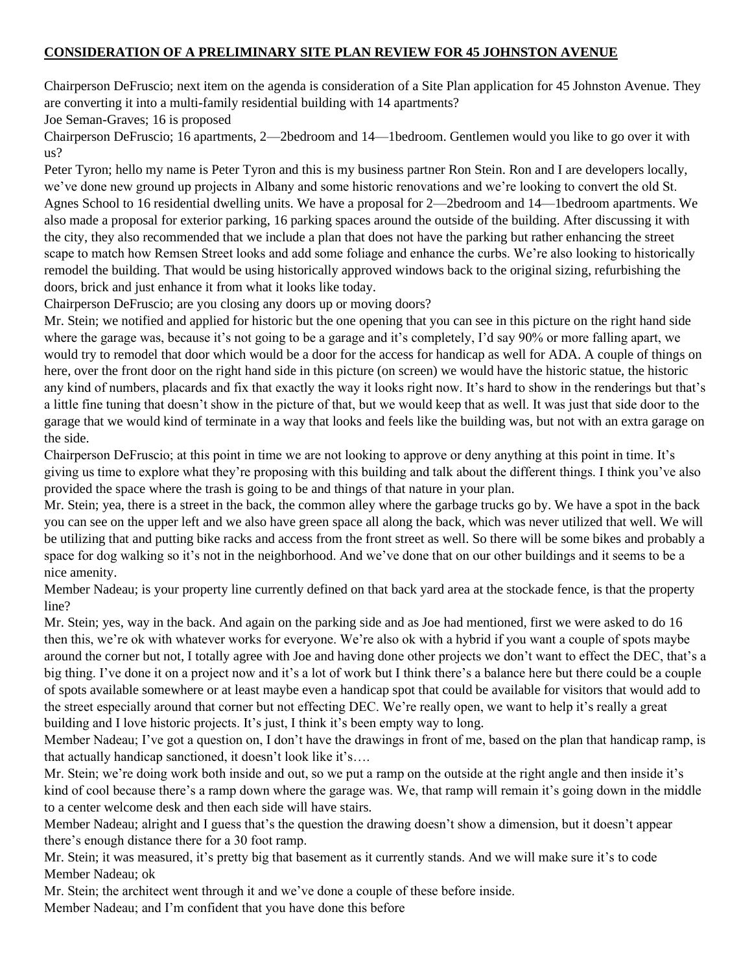### **CONSIDERATION OF A PRELIMINARY SITE PLAN REVIEW FOR 45 JOHNSTON AVENUE**

Chairperson DeFruscio; next item on the agenda is consideration of a Site Plan application for 45 Johnston Avenue. They are converting it into a multi-family residential building with 14 apartments?

Joe Seman-Graves; 16 is proposed

Chairperson DeFruscio; 16 apartments, 2—2bedroom and 14—1bedroom. Gentlemen would you like to go over it with us?

Peter Tyron; hello my name is Peter Tyron and this is my business partner Ron Stein. Ron and I are developers locally, we've done new ground up projects in Albany and some historic renovations and we're looking to convert the old St. Agnes School to 16 residential dwelling units. We have a proposal for 2—2bedroom and 14—1bedroom apartments. We also made a proposal for exterior parking, 16 parking spaces around the outside of the building. After discussing it with the city, they also recommended that we include a plan that does not have the parking but rather enhancing the street scape to match how Remsen Street looks and add some foliage and enhance the curbs. We're also looking to historically remodel the building. That would be using historically approved windows back to the original sizing, refurbishing the doors, brick and just enhance it from what it looks like today.

Chairperson DeFruscio; are you closing any doors up or moving doors?

Mr. Stein; we notified and applied for historic but the one opening that you can see in this picture on the right hand side where the garage was, because it's not going to be a garage and it's completely, I'd say 90% or more falling apart, we would try to remodel that door which would be a door for the access for handicap as well for ADA. A couple of things on here, over the front door on the right hand side in this picture (on screen) we would have the historic statue, the historic any kind of numbers, placards and fix that exactly the way it looks right now. It's hard to show in the renderings but that's a little fine tuning that doesn't show in the picture of that, but we would keep that as well. It was just that side door to the garage that we would kind of terminate in a way that looks and feels like the building was, but not with an extra garage on the side.

Chairperson DeFruscio; at this point in time we are not looking to approve or deny anything at this point in time. It's giving us time to explore what they're proposing with this building and talk about the different things. I think you've also provided the space where the trash is going to be and things of that nature in your plan.

Mr. Stein; yea, there is a street in the back, the common alley where the garbage trucks go by. We have a spot in the back you can see on the upper left and we also have green space all along the back, which was never utilized that well. We will be utilizing that and putting bike racks and access from the front street as well. So there will be some bikes and probably a space for dog walking so it's not in the neighborhood. And we've done that on our other buildings and it seems to be a nice amenity.

Member Nadeau; is your property line currently defined on that back yard area at the stockade fence, is that the property line?

Mr. Stein; yes, way in the back. And again on the parking side and as Joe had mentioned, first we were asked to do 16 then this, we're ok with whatever works for everyone. We're also ok with a hybrid if you want a couple of spots maybe around the corner but not, I totally agree with Joe and having done other projects we don't want to effect the DEC, that's a big thing. I've done it on a project now and it's a lot of work but I think there's a balance here but there could be a couple of spots available somewhere or at least maybe even a handicap spot that could be available for visitors that would add to the street especially around that corner but not effecting DEC. We're really open, we want to help it's really a great building and I love historic projects. It's just, I think it's been empty way to long.

Member Nadeau; I've got a question on, I don't have the drawings in front of me, based on the plan that handicap ramp, is that actually handicap sanctioned, it doesn't look like it's….

Mr. Stein; we're doing work both inside and out, so we put a ramp on the outside at the right angle and then inside it's kind of cool because there's a ramp down where the garage was. We, that ramp will remain it's going down in the middle to a center welcome desk and then each side will have stairs.

Member Nadeau; alright and I guess that's the question the drawing doesn't show a dimension, but it doesn't appear there's enough distance there for a 30 foot ramp.

Mr. Stein; it was measured, it's pretty big that basement as it currently stands. And we will make sure it's to code Member Nadeau; ok

Mr. Stein; the architect went through it and we've done a couple of these before inside.

Member Nadeau; and I'm confident that you have done this before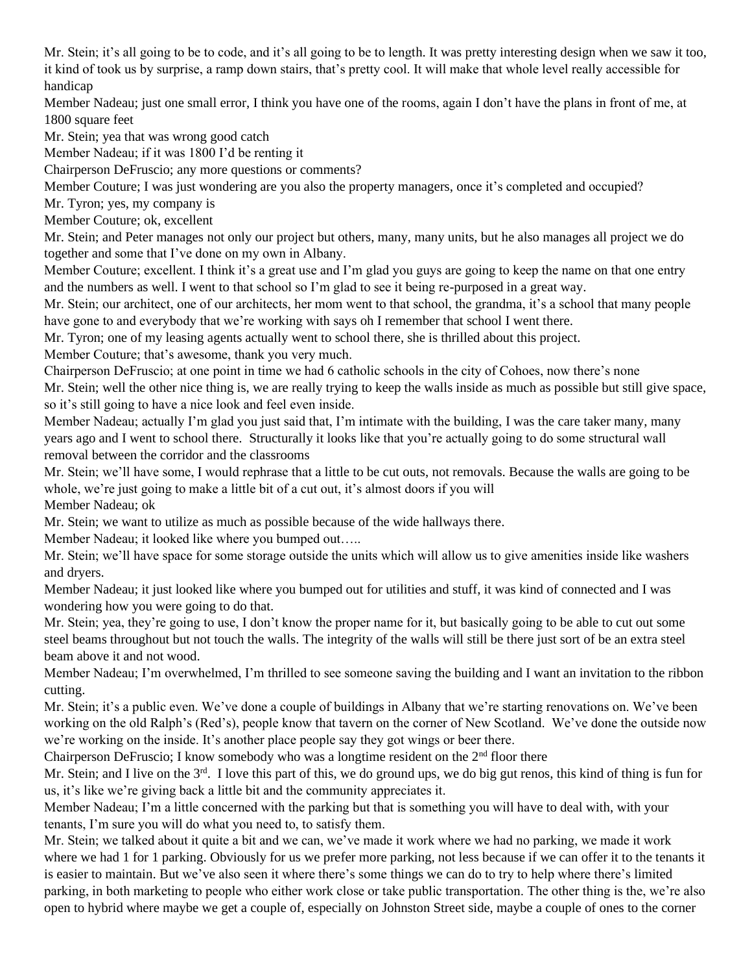Mr. Stein; it's all going to be to code, and it's all going to be to length. It was pretty interesting design when we saw it too, it kind of took us by surprise, a ramp down stairs, that's pretty cool. It will make that whole level really accessible for handicap

Member Nadeau; just one small error, I think you have one of the rooms, again I don't have the plans in front of me, at 1800 square feet

Mr. Stein; yea that was wrong good catch

Member Nadeau; if it was 1800 I'd be renting it

Chairperson DeFruscio; any more questions or comments?

Member Couture; I was just wondering are you also the property managers, once it's completed and occupied?

Mr. Tyron; yes, my company is

Member Couture; ok, excellent

Mr. Stein; and Peter manages not only our project but others, many, many units, but he also manages all project we do together and some that I've done on my own in Albany.

Member Couture; excellent. I think it's a great use and I'm glad you guys are going to keep the name on that one entry and the numbers as well. I went to that school so I'm glad to see it being re-purposed in a great way.

Mr. Stein; our architect, one of our architects, her mom went to that school, the grandma, it's a school that many people have gone to and everybody that we're working with says oh I remember that school I went there.

Mr. Tyron; one of my leasing agents actually went to school there, she is thrilled about this project.

Member Couture; that's awesome, thank you very much.

Chairperson DeFruscio; at one point in time we had 6 catholic schools in the city of Cohoes, now there's none

Mr. Stein; well the other nice thing is, we are really trying to keep the walls inside as much as possible but still give space, so it's still going to have a nice look and feel even inside.

Member Nadeau; actually I'm glad you just said that, I'm intimate with the building, I was the care taker many, many years ago and I went to school there. Structurally it looks like that you're actually going to do some structural wall removal between the corridor and the classrooms

Mr. Stein; we'll have some, I would rephrase that a little to be cut outs, not removals. Because the walls are going to be whole, we're just going to make a little bit of a cut out, it's almost doors if you will

Member Nadeau; ok

Mr. Stein; we want to utilize as much as possible because of the wide hallways there.

Member Nadeau; it looked like where you bumped out…..

Mr. Stein; we'll have space for some storage outside the units which will allow us to give amenities inside like washers and dryers.

Member Nadeau; it just looked like where you bumped out for utilities and stuff, it was kind of connected and I was wondering how you were going to do that.

Mr. Stein; yea, they're going to use, I don't know the proper name for it, but basically going to be able to cut out some steel beams throughout but not touch the walls. The integrity of the walls will still be there just sort of be an extra steel beam above it and not wood.

Member Nadeau; I'm overwhelmed, I'm thrilled to see someone saving the building and I want an invitation to the ribbon cutting.

Mr. Stein; it's a public even. We've done a couple of buildings in Albany that we're starting renovations on. We've been working on the old Ralph's (Red's), people know that tavern on the corner of New Scotland. We've done the outside now we're working on the inside. It's another place people say they got wings or beer there.

Chairperson DeFruscio; I know somebody who was a longtime resident on the  $2<sup>nd</sup>$  floor there

Mr. Stein; and I live on the  $3<sup>rd</sup>$ . I love this part of this, we do ground ups, we do big gut renos, this kind of thing is fun for us, it's like we're giving back a little bit and the community appreciates it.

Member Nadeau; I'm a little concerned with the parking but that is something you will have to deal with, with your tenants, I'm sure you will do what you need to, to satisfy them.

Mr. Stein; we talked about it quite a bit and we can, we've made it work where we had no parking, we made it work where we had 1 for 1 parking. Obviously for us we prefer more parking, not less because if we can offer it to the tenants it is easier to maintain. But we've also seen it where there's some things we can do to try to help where there's limited parking, in both marketing to people who either work close or take public transportation. The other thing is the, we're also open to hybrid where maybe we get a couple of, especially on Johnston Street side, maybe a couple of ones to the corner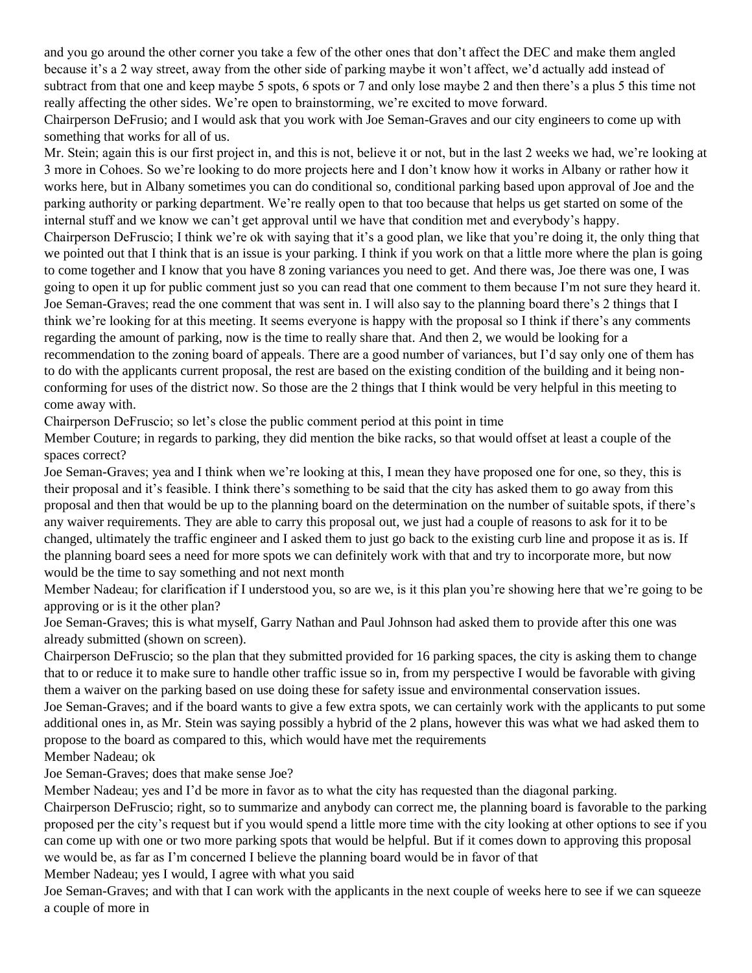and you go around the other corner you take a few of the other ones that don't affect the DEC and make them angled because it's a 2 way street, away from the other side of parking maybe it won't affect, we'd actually add instead of subtract from that one and keep maybe 5 spots, 6 spots or 7 and only lose maybe 2 and then there's a plus 5 this time not really affecting the other sides. We're open to brainstorming, we're excited to move forward.

Chairperson DeFrusio; and I would ask that you work with Joe Seman-Graves and our city engineers to come up with something that works for all of us.

Mr. Stein; again this is our first project in, and this is not, believe it or not, but in the last 2 weeks we had, we're looking at 3 more in Cohoes. So we're looking to do more projects here and I don't know how it works in Albany or rather how it works here, but in Albany sometimes you can do conditional so, conditional parking based upon approval of Joe and the parking authority or parking department. We're really open to that too because that helps us get started on some of the internal stuff and we know we can't get approval until we have that condition met and everybody's happy. Chairperson DeFruscio; I think we're ok with saying that it's a good plan, we like that you're doing it, the only thing that we pointed out that I think that is an issue is your parking. I think if you work on that a little more where the plan is going to come together and I know that you have 8 zoning variances you need to get. And there was, Joe there was one, I was going to open it up for public comment just so you can read that one comment to them because I'm not sure they heard it. Joe Seman-Graves; read the one comment that was sent in. I will also say to the planning board there's 2 things that I think we're looking for at this meeting. It seems everyone is happy with the proposal so I think if there's any comments regarding the amount of parking, now is the time to really share that. And then 2, we would be looking for a recommendation to the zoning board of appeals. There are a good number of variances, but I'd say only one of them has to do with the applicants current proposal, the rest are based on the existing condition of the building and it being nonconforming for uses of the district now. So those are the 2 things that I think would be very helpful in this meeting to come away with.

Chairperson DeFruscio; so let's close the public comment period at this point in time

Member Couture; in regards to parking, they did mention the bike racks, so that would offset at least a couple of the spaces correct?

Joe Seman-Graves; yea and I think when we're looking at this, I mean they have proposed one for one, so they, this is their proposal and it's feasible. I think there's something to be said that the city has asked them to go away from this proposal and then that would be up to the planning board on the determination on the number of suitable spots, if there's any waiver requirements. They are able to carry this proposal out, we just had a couple of reasons to ask for it to be changed, ultimately the traffic engineer and I asked them to just go back to the existing curb line and propose it as is. If the planning board sees a need for more spots we can definitely work with that and try to incorporate more, but now would be the time to say something and not next month

Member Nadeau; for clarification if I understood you, so are we, is it this plan you're showing here that we're going to be approving or is it the other plan?

Joe Seman-Graves; this is what myself, Garry Nathan and Paul Johnson had asked them to provide after this one was already submitted (shown on screen).

Chairperson DeFruscio; so the plan that they submitted provided for 16 parking spaces, the city is asking them to change that to or reduce it to make sure to handle other traffic issue so in, from my perspective I would be favorable with giving them a waiver on the parking based on use doing these for safety issue and environmental conservation issues.

Joe Seman-Graves; and if the board wants to give a few extra spots, we can certainly work with the applicants to put some additional ones in, as Mr. Stein was saying possibly a hybrid of the 2 plans, however this was what we had asked them to propose to the board as compared to this, which would have met the requirements

Member Nadeau; ok

Joe Seman-Graves; does that make sense Joe?

Member Nadeau; yes and I'd be more in favor as to what the city has requested than the diagonal parking.

Chairperson DeFruscio; right, so to summarize and anybody can correct me, the planning board is favorable to the parking proposed per the city's request but if you would spend a little more time with the city looking at other options to see if you can come up with one or two more parking spots that would be helpful. But if it comes down to approving this proposal we would be, as far as I'm concerned I believe the planning board would be in favor of that

Member Nadeau; yes I would, I agree with what you said

Joe Seman-Graves; and with that I can work with the applicants in the next couple of weeks here to see if we can squeeze a couple of more in